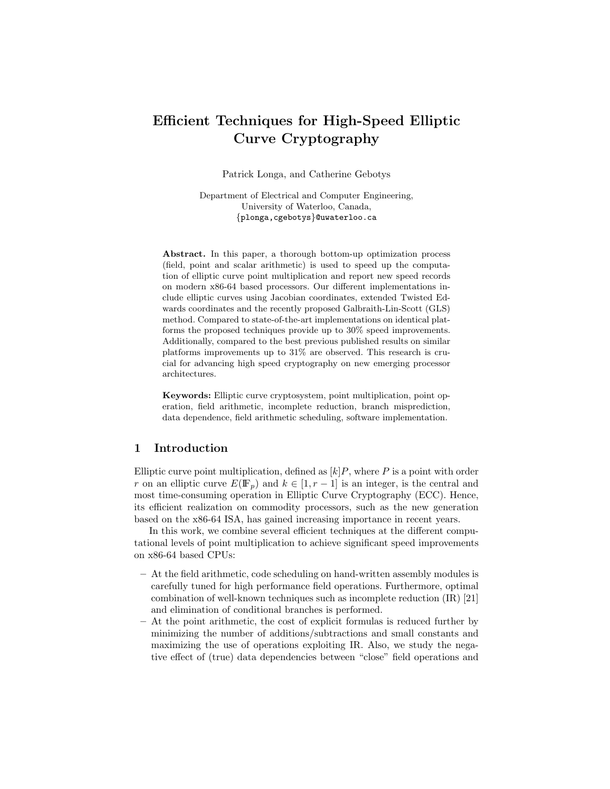# Efficient Techniques for High-Speed Elliptic Curve Cryptography

Patrick Longa, and Catherine Gebotys

Department of Electrical and Computer Engineering, University of Waterloo, Canada, {plonga,cgebotys}@uwaterloo.ca

Abstract. In this paper, a thorough bottom-up optimization process (field, point and scalar arithmetic) is used to speed up the computation of elliptic curve point multiplication and report new speed records on modern x86-64 based processors. Our different implementations include elliptic curves using Jacobian coordinates, extended Twisted Edwards coordinates and the recently proposed Galbraith-Lin-Scott (GLS) method. Compared to state-of-the-art implementations on identical platforms the proposed techniques provide up to 30% speed improvements. Additionally, compared to the best previous published results on similar platforms improvements up to 31% are observed. This research is crucial for advancing high speed cryptography on new emerging processor architectures.

Keywords: Elliptic curve cryptosystem, point multiplication, point operation, field arithmetic, incomplete reduction, branch misprediction, data dependence, field arithmetic scheduling, software implementation.

### 1 Introduction

Elliptic curve point multiplication, defined as  $[k]P$ , where P is a point with order r on an elliptic curve  $E(\mathbb{F}_p)$  and  $k \in [1, r-1]$  is an integer, is the central and most time-consuming operation in Elliptic Curve Cryptography (ECC). Hence, its efficient realization on commodity processors, such as the new generation based on the x86-64 ISA, has gained increasing importance in recent years.

In this work, we combine several efficient techniques at the different computational levels of point multiplication to achieve significant speed improvements on x86-64 based CPUs:

- At the field arithmetic, code scheduling on hand-written assembly modules is carefully tuned for high performance field operations. Furthermore, optimal combination of well-known techniques such as incomplete reduction (IR) [21] and elimination of conditional branches is performed.
- At the point arithmetic, the cost of explicit formulas is reduced further by minimizing the number of additions/subtractions and small constants and maximizing the use of operations exploiting IR. Also, we study the negative effect of (true) data dependencies between "close" field operations and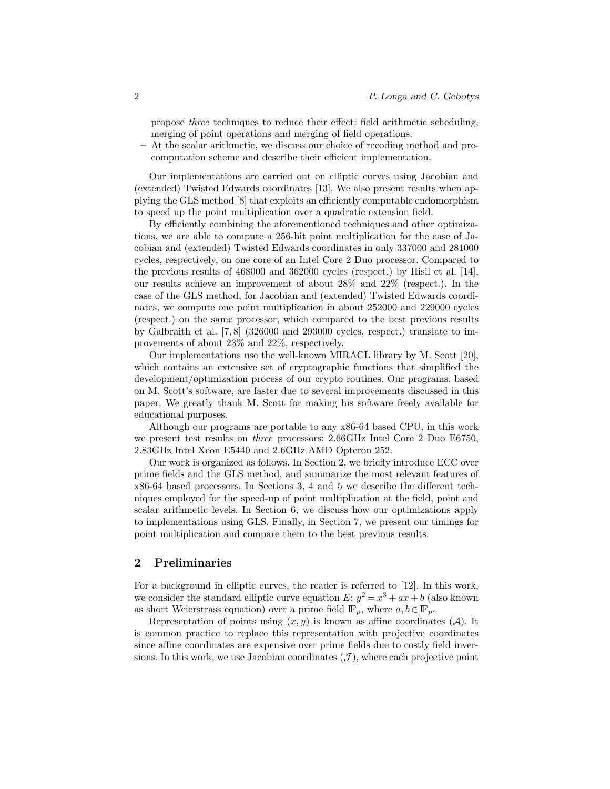propose three techniques to reduce their effect: field arithmetic scheduling, merging of point operations and merging of field operations.

– At the scalar arithmetic, we discuss our choice of recoding method and precomputation scheme and describe their efficient implementation.

Our implementations are carried out on elliptic curves using Jacobian and (extended) Twisted Edwards coordinates [13]. We also present results when applying the GLS method [8] that exploits an efficiently computable endomorphism to speed up the point multiplication over a quadratic extension field.

By efficiently combining the aforementioned techniques and other optimizations, we are able to compute a 256-bit point multiplication for the case of Jacobian and (extended) Twisted Edwards coordinates in only 337000 and 281000 cycles, respectively, on one core of an Intel Core 2 Duo processor. Compared to the previous results of 468000 and 362000 cycles (respect.) by Hisil et al. [14], our results achieve an improvement of about 28% and 22% (respect.). In the case of the GLS method, for Jacobian and (extended) Twisted Edwards coordinates, we compute one point multiplication in about 252000 and 229000 cycles (respect.) on the same processor, which compared to the best previous results by Galbraith et al. [7, 8] (326000 and 293000 cycles, respect.) translate to improvements of about 23% and 22%, respectively.

Our implementations use the well-known MIRACL library by M. Scott [20], which contains an extensive set of cryptographic functions that simplified the development/optimization process of our crypto routines. Our programs, based on M. Scott's software, are faster due to several improvements discussed in this paper. We greatly thank M. Scott for making his software freely available for educational purposes.

Although our programs are portable to any x86-64 based CPU, in this work we present test results on three processors: 2.66GHz Intel Core 2 Duo E6750, 2.83GHz Intel Xeon E5440 and 2.6GHz AMD Opteron 252.

Our work is organized as follows. In Section 2, we briefly introduce ECC over prime fields and the GLS method, and summarize the most relevant features of x86-64 based processors. In Sections 3, 4 and 5 we describe the different techniques employed for the speed-up of point multiplication at the field, point and scalar arithmetic levels. In Section 6, we discuss how our optimizations apply to implementations using GLS. Finally, in Section 7, we present our timings for point multiplication and compare them to the best previous results.

#### 2 Preliminaries

For a background in elliptic curves, the reader is referred to [12]. In this work, we consider the standard elliptic curve equation  $E: y^2 = x^3 + ax + b$  (also known as short Weierstrass equation) over a prime field  $\mathbb{F}_p$ , where  $a, b \in \mathbb{F}_p$ .

Representation of points using  $(x, y)$  is known as affine coordinates  $(A)$ . It is common practice to replace this representation with projective coordinates since affine coordinates are expensive over prime fields due to costly field inversions. In this work, we use Jacobian coordinates  $(\mathcal{J})$ , where each projective point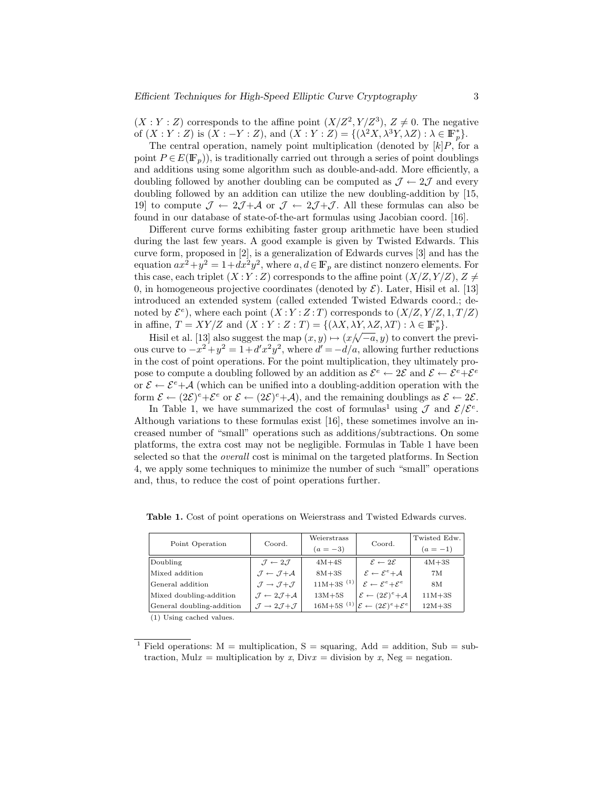$(X:Y:Z)$  corresponds to the affine point  $(X/Z<sup>2</sup>, Y/Z<sup>3</sup>)$ ,  $Z \neq 0$ . The negative of  $(X:Y:Z)$  is  $(X:-Y:Z)$ , and  $(X:Y:Z) = \{(\lambda^2 X, \lambda^3 Y, \lambda Z) : \lambda \in \mathbb{F}_p^*\}.$ 

The central operation, namely point multiplication (denoted by  $[k]P$ , for a point  $P \in E(\mathbb{F}_n)$ , is traditionally carried out through a series of point doublings and additions using some algorithm such as double-and-add. More efficiently, a doubling followed by another doubling can be computed as  $\mathcal{J} \leftarrow 2\mathcal{J}$  and every doubling followed by an addition can utilize the new doubling-addition by [15, 19] to compute  $\mathcal{J} \leftarrow 2\mathcal{J} + \mathcal{A}$  or  $\mathcal{J} \leftarrow 2\mathcal{J} + \mathcal{J}$ . All these formulas can also be found in our database of state-of-the-art formulas using Jacobian coord. [16].

Different curve forms exhibiting faster group arithmetic have been studied during the last few years. A good example is given by Twisted Edwards. This curve form, proposed in [2], is a generalization of Edwards curves [3] and has the equation  $ax^2 + y^2 = 1 + dx^2y^2$ , where  $a, d \in \mathbb{F}_p$  are distinct nonzero elements. For this case, each triplet  $(X:Y:Z)$  corresponds to the affine point  $(X/Z, Y/Z), Z \neq$ 0, in homogeneous projective coordinates (denoted by  $\mathcal{E}$ ). Later, Hisil et al. [13] introduced an extended system (called extended Twisted Edwards coord.; denoted by  $\mathcal{E}^e$ ), where each point  $(X:Y:Z:T)$  corresponds to  $(X/Z, Y/Z, 1, T/Z)$ in affine,  $T = XY/Z$  and  $(X:Y:Z:T) = \{(\lambda X, \lambda Y, \lambda Z, \lambda T) : \lambda \in \mathbb{F}_p^*\}.$ 

Hisil et al. [13] also suggest the map  $(x, y) \mapsto (x/\sqrt{-a}, y)$  to convert the previous curve to  $-x^2 + y^2 = 1 + d'x^2y^2$ , where  $d' = -d/a$ , allowing further reductions in the cost of point operations. For the point multiplication, they ultimately propose to compute a doubling followed by an addition as  $\mathcal{E}^e \leftarrow 2\mathcal{E}$  and  $\mathcal{E} \leftarrow \mathcal{E}^e + \mathcal{E}^e$ or  $\mathcal{E} \leftarrow \mathcal{E}^e + \mathcal{A}$  (which can be unified into a doubling-addition operation with the form  $\mathcal{E} \leftarrow (2\mathcal{E})^e + \mathcal{E}^e$  or  $\mathcal{E} \leftarrow (2\mathcal{E})^e + \mathcal{A}$ , and the remaining doublings as  $\mathcal{E} \leftarrow 2\mathcal{E}$ .

In Table 1, we have summarized the cost of formulas<sup>1</sup> using  $\mathcal J$  and  $\mathcal E/\mathcal E^e$ . Although variations to these formulas exist [16], these sometimes involve an increased number of "small" operations such as additions/subtractions. On some platforms, the extra cost may not be negligible. Formulas in Table 1 have been selected so that the overall cost is minimal on the targeted platforms. In Section 4, we apply some techniques to minimize the number of such "small" operations and, thus, to reduce the cost of point operations further.

| Point Operation                     | Coord.                                               | Weierstrass    | Coord.                                                                             | Twisted Edw. |
|-------------------------------------|------------------------------------------------------|----------------|------------------------------------------------------------------------------------|--------------|
|                                     |                                                      | $(a = -3)$     |                                                                                    | $(a = -1)$   |
| Doubling                            | $\mathcal{J} \leftarrow 2\mathcal{J}$                | $4M+4S$        | $\mathcal{E} \leftarrow 2\mathcal{E}$                                              | $4M+3S$      |
| Mixed addition                      | $\mathcal{I} \leftarrow \mathcal{I} + \mathcal{A}$   | $8M+3S$        | $\mathcal{E} \leftarrow \mathcal{E}^e + \mathcal{A}$                               | 7M           |
| General addition                    | $\mathcal{J} \rightarrow \mathcal{J} + \mathcal{J}$  | $11M+3S^{(1)}$ | $\mathcal{E} \leftarrow \mathcal{E}^e + \mathcal{E}^e$                             | 8M           |
| Mixed doubling-addition             | $\mathcal{J} \leftarrow 2\mathcal{J} + \mathcal{A}$  | $13M+5S$       | $\mathcal{E} \leftarrow (2\mathcal{E})^e + \mathcal{A}$                            | $11M+3S$     |
| General doubling-addition           | $\mathcal{J} \rightarrow 2\mathcal{J} + \mathcal{J}$ |                | $16M+5S^{(1)}\left[\mathcal{E} \leftarrow (2\mathcal{E})^e + \mathcal{E}^e\right]$ | $12M+3S$     |
| $\left( 4 \right)$ TT $\cdot$ 1 1 1 |                                                      |                |                                                                                    |              |

Table 1. Cost of point operations on Weierstrass and Twisted Edwards curves.

(1) Using cached values.

<sup>&</sup>lt;sup>1</sup> Field operations:  $M =$  multiplication, S = squaring, Add = addition, Sub = subtraction, Mul $x =$  multiplication by  $x$ , Div $x =$  division by  $x$ , Neg = negation.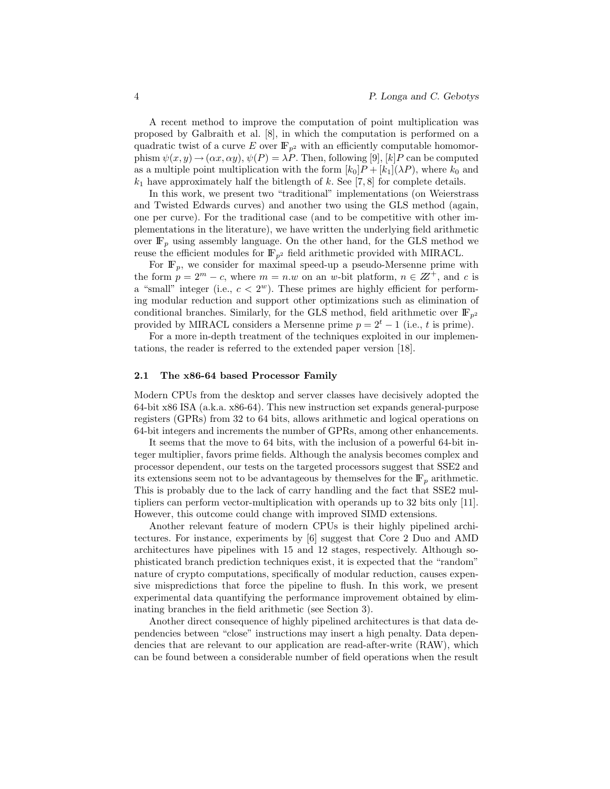A recent method to improve the computation of point multiplication was proposed by Galbraith et al. [8], in which the computation is performed on a quadratic twist of a curve E over  $\mathbb{F}_{p^2}$  with an efficiently computable homomorphism  $\psi(x, y) \rightarrow (\alpha x, \alpha y)$ ,  $\psi(P) = \lambda P$ . Then, following [9], [k] P can be computed as a multiple point multiplication with the form  $[k_0]P + [k_1](\lambda P)$ , where  $k_0$  and  $k_1$  have approximately half the bitlength of k. See [7, 8] for complete details.

In this work, we present two "traditional" implementations (on Weierstrass and Twisted Edwards curves) and another two using the GLS method (again, one per curve). For the traditional case (and to be competitive with other implementations in the literature), we have written the underlying field arithmetic over  $\mathbb{F}_p$  using assembly language. On the other hand, for the GLS method we reuse the efficient modules for  $\mathbb{F}_{p^2}$  field arithmetic provided with MIRACL.

For  $\mathbb{F}_p$ , we consider for maximal speed-up a pseudo-Mersenne prime with the form  $p = 2^m - c$ , where  $m = n \omega$  on an w-bit platform,  $n \in \mathbb{Z}^+$ , and c is a "small" integer (i.e.,  $c < 2^w$ ). These primes are highly efficient for performing modular reduction and support other optimizations such as elimination of conditional branches. Similarly, for the GLS method, field arithmetic over  $\mathbb{F}_{p^2}$ provided by MIRACL considers a Mersenne prime  $p = 2<sup>t</sup> - 1$  (i.e., t is prime).

For a more in-depth treatment of the techniques exploited in our implementations, the reader is referred to the extended paper version [18].

#### 2.1 The x86-64 based Processor Family

Modern CPUs from the desktop and server classes have decisively adopted the 64-bit x86 ISA (a.k.a. x86-64). This new instruction set expands general-purpose registers (GPRs) from 32 to 64 bits, allows arithmetic and logical operations on 64-bit integers and increments the number of GPRs, among other enhancements.

It seems that the move to 64 bits, with the inclusion of a powerful 64-bit integer multiplier, favors prime fields. Although the analysis becomes complex and processor dependent, our tests on the targeted processors suggest that SSE2 and its extensions seem not to be advantageous by themselves for the  $\mathbb{F}_p$  arithmetic. This is probably due to the lack of carry handling and the fact that SSE2 multipliers can perform vector-multiplication with operands up to 32 bits only [11]. However, this outcome could change with improved SIMD extensions.

Another relevant feature of modern CPUs is their highly pipelined architectures. For instance, experiments by [6] suggest that Core 2 Duo and AMD architectures have pipelines with 15 and 12 stages, respectively. Although sophisticated branch prediction techniques exist, it is expected that the "random" nature of crypto computations, specifically of modular reduction, causes expensive mispredictions that force the pipeline to flush. In this work, we present experimental data quantifying the performance improvement obtained by eliminating branches in the field arithmetic (see Section 3).

Another direct consequence of highly pipelined architectures is that data dependencies between "close" instructions may insert a high penalty. Data dependencies that are relevant to our application are read-after-write (RAW), which can be found between a considerable number of field operations when the result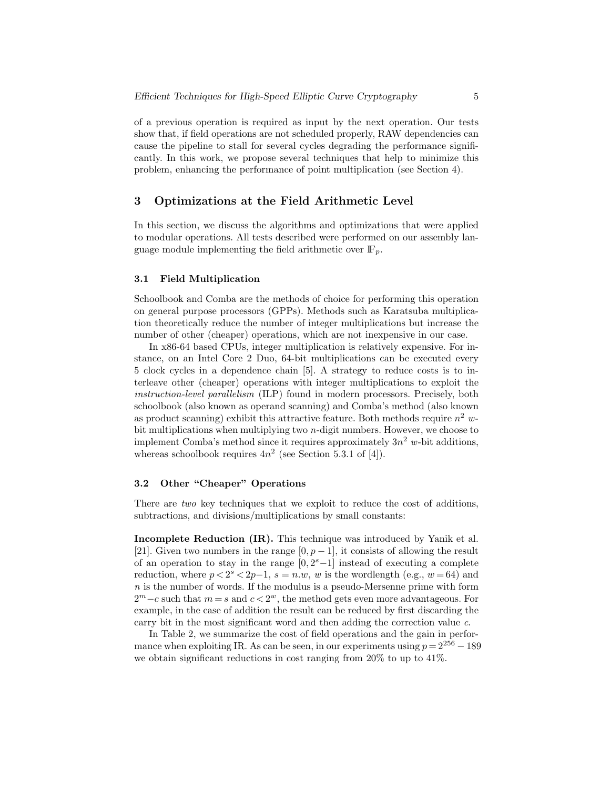of a previous operation is required as input by the next operation. Our tests show that, if field operations are not scheduled properly, RAW dependencies can cause the pipeline to stall for several cycles degrading the performance significantly. In this work, we propose several techniques that help to minimize this problem, enhancing the performance of point multiplication (see Section 4).

### 3 Optimizations at the Field Arithmetic Level

In this section, we discuss the algorithms and optimizations that were applied to modular operations. All tests described were performed on our assembly language module implementing the field arithmetic over  $\mathbb{F}_p$ .

#### 3.1 Field Multiplication

Schoolbook and Comba are the methods of choice for performing this operation on general purpose processors (GPPs). Methods such as Karatsuba multiplication theoretically reduce the number of integer multiplications but increase the number of other (cheaper) operations, which are not inexpensive in our case.

In x86-64 based CPUs, integer multiplication is relatively expensive. For instance, on an Intel Core 2 Duo, 64-bit multiplications can be executed every 5 clock cycles in a dependence chain [5]. A strategy to reduce costs is to interleave other (cheaper) operations with integer multiplications to exploit the instruction-level parallelism (ILP) found in modern processors. Precisely, both schoolbook (also known as operand scanning) and Comba's method (also known as product scanning) exhibit this attractive feature. Both methods require  $n^2$  wbit multiplications when multiplying two n-digit numbers. However, we choose to implement Comba's method since it requires approximately  $3n^2$  w-bit additions, whereas schoolbook requires  $4n^2$  (see Section 5.3.1 of [4]).

### 3.2 Other "Cheaper" Operations

There are *two* key techniques that we exploit to reduce the cost of additions, subtractions, and divisions/multiplications by small constants:

Incomplete Reduction (IR). This technique was introduced by Yanik et al. [21]. Given two numbers in the range  $[0, p - 1]$ , it consists of allowing the result of an operation to stay in the range  $[0, 2<sup>s</sup> - 1]$  instead of executing a complete reduction, where  $p < 2<sup>s</sup> < 2p-1$ ,  $s = n.w$ , w is the wordlength (e.g.,  $w = 64$ ) and  $n$  is the number of words. If the modulus is a pseudo-Mersenne prime with form  $2^m - c$  such that  $m = s$  and  $c < 2^w$ , the method gets even more advantageous. For example, in the case of addition the result can be reduced by first discarding the carry bit in the most significant word and then adding the correction value c.

In Table 2, we summarize the cost of field operations and the gain in performance when exploiting IR. As can be seen, in our experiments using  $p = 2^{256} - 189$ we obtain significant reductions in cost ranging from 20% to up to 41%.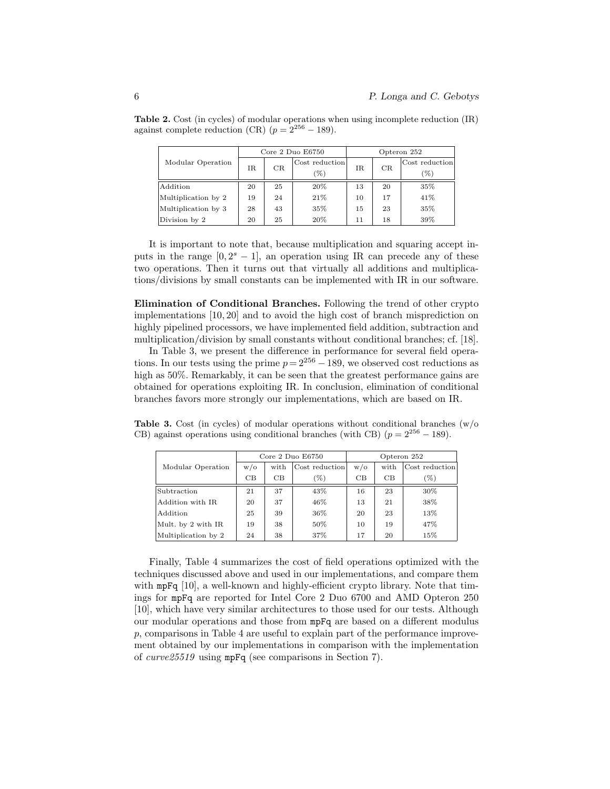|                     | Core $2$ Duo $E6750$ |    |                       | Opteron 252 |    |                       |
|---------------------|----------------------|----|-----------------------|-------------|----|-----------------------|
| Modular Operation   | IR                   | CR | Cost reduction<br>(%) | IR.         | CR | Cost reduction<br>(%) |
| Addition            | 20                   | 25 | 20%                   | 13          | 20 | 35%                   |
| Multiplication by 2 | 19                   | 24 | 21%                   | 10          | 17 | 41%                   |
| Multiplication by 3 | 28                   | 43 | 35%                   | 15          | 23 | 35%                   |
| Division by 2       | 20                   | 25 | 20%                   | 11          | 18 | 39%                   |

Table 2. Cost (in cycles) of modular operations when using incomplete reduction (IR) against complete reduction (CR)  $(p = 2^{256} - 189)$ .

It is important to note that, because multiplication and squaring accept inputs in the range  $[0, 2<sup>s</sup> - 1]$ , an operation using IR can precede any of these two operations. Then it turns out that virtually all additions and multiplications/divisions by small constants can be implemented with IR in our software.

Elimination of Conditional Branches. Following the trend of other crypto implementations [10, 20] and to avoid the high cost of branch misprediction on highly pipelined processors, we have implemented field addition, subtraction and multiplication/division by small constants without conditional branches; cf. [18].

In Table 3, we present the difference in performance for several field operations. In our tests using the prime  $p = 2^{256} - 189$ , we observed cost reductions as high as  $50\%$ . Remarkably, it can be seen that the greatest performance gains are obtained for operations exploiting IR. In conclusion, elimination of conditional branches favors more strongly our implementations, which are based on IR.

**Table 3.** Cost (in cycles) of modular operations without conditional branches  $(w/\text{o})$ CB) against operations using conditional branches (with CB)  $(p = 2^{256} - 189)$ .

|                     | Core $2$ Duo $E6750$ |      |                | Opteron 252 |      |                |
|---------------------|----------------------|------|----------------|-------------|------|----------------|
| Modular Operation   | W/O                  | with | Cost reduction | $w/\alpha$  | with | Cost reduction |
|                     | CB                   | CB.  | $(\%)$         | CB          | CB   | (%)            |
| Subtraction         | 21                   | 37   | 43%            | 16          | 23   | 30%            |
| Addition with IR    | 20                   | 37   | 46%            | 13          | 21   | 38%            |
| Addition            | 25                   | 39   | 36%            | 20          | 23   | 13%            |
| Mult. by 2 with IR  | 19                   | 38   | 50%            | 10          | 19   | 47%            |
| Multiplication by 2 | 24                   | 38   | 37%            | 17          | 20   | 15%            |

Finally, Table 4 summarizes the cost of field operations optimized with the techniques discussed above and used in our implementations, and compare them with mpFq [10], a well-known and highly-efficient crypto library. Note that timings for mpFq are reported for Intel Core 2 Duo 6700 and AMD Opteron 250 [10], which have very similar architectures to those used for our tests. Although our modular operations and those from mpFq are based on a different modulus p, comparisons in Table 4 are useful to explain part of the performance improvement obtained by our implementations in comparison with the implementation of curve25519 using mpFq (see comparisons in Section 7).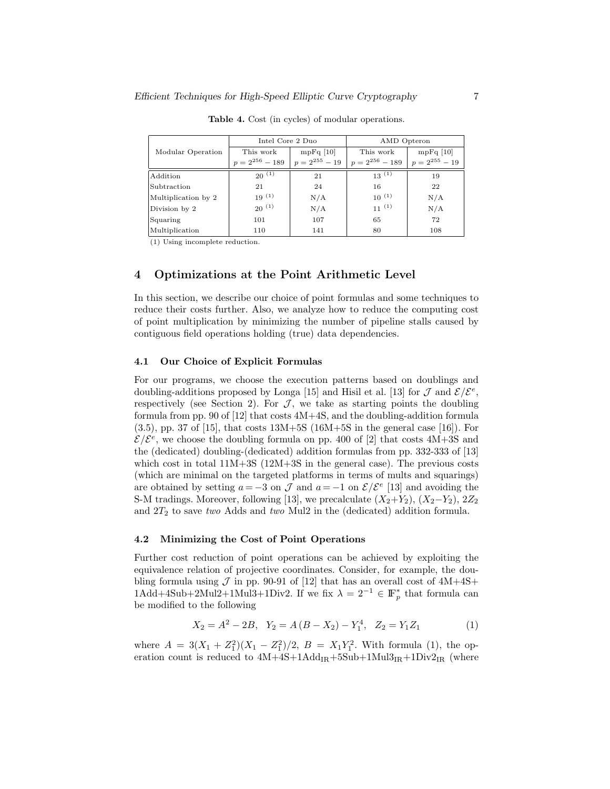|                     | Intel Core 2 Duo    |                    | AMD Opteron         |                    |  |
|---------------------|---------------------|--------------------|---------------------|--------------------|--|
| Modular Operation   | This work           | $mpFq$ [10]        | This work           | $mpFq$ [10]        |  |
|                     | $p = 2^{256} - 189$ | $p = 2^{255} - 19$ | $p = 2^{256} - 189$ | $p = 2^{255} - 19$ |  |
| Addition            | $20^{(1)}$          | 21                 | $13^{(1)}$          | 19                 |  |
| Subtraction         | 21                  | 24                 | 16                  | 22                 |  |
| Multiplication by 2 | $19^{(1)}$          | N/A                | $10^{(1)}$          | N/A                |  |
| Division by 2       | $20^{(1)}$          | N/A                | $11^{(1)}$          | N/A                |  |
| Squaring            | 101                 | 107                | 65                  | 72                 |  |
| Multiplication      | 110                 | 141                | 80                  | 108                |  |

Table 4. Cost (in cycles) of modular operations.

(1) Using incomplete reduction.

### 4 Optimizations at the Point Arithmetic Level

In this section, we describe our choice of point formulas and some techniques to reduce their costs further. Also, we analyze how to reduce the computing cost of point multiplication by minimizing the number of pipeline stalls caused by contiguous field operations holding (true) data dependencies.

#### 4.1 Our Choice of Explicit Formulas

For our programs, we choose the execution patterns based on doublings and doubling-additions proposed by Longa [15] and Hisil et al. [13] for  $\mathcal{J}$  and  $\mathcal{E}/\mathcal{E}^e$ , respectively (see Section 2). For  $J$ , we take as starting points the doubling formula from pp. 90 of [12] that costs 4M+4S, and the doubling-addition formula  $(3.5)$ , pp. 37 of [15], that costs  $13M+5S$  (16M+5S in the general case [16]). For  $\mathcal{E}/\mathcal{E}^e$ , we choose the doubling formula on pp. 400 of [2] that costs 4M+3S and the (dedicated) doubling-(dedicated) addition formulas from pp. 332-333 of [13] which cost in total  $11M+3S$  ( $12M+3S$  in the general case). The previous costs (which are minimal on the targeted platforms in terms of mults and squarings) are obtained by setting  $a = -3$  on  $\mathcal J$  and  $a = -1$  on  $\mathcal E/\mathcal E^e$  [13] and avoiding the S-M tradings. Moreover, following [13], we precalculate  $(X_2+Y_2)$ ,  $(X_2-Y_2)$ ,  $2Z_2$ and  $2T_2$  to save two Adds and two Mul2 in the (dedicated) addition formula.

#### 4.2 Minimizing the Cost of Point Operations

Further cost reduction of point operations can be achieved by exploiting the equivalence relation of projective coordinates. Consider, for example, the doubling formula using  $\mathcal J$  in pp. 90-91 of [12] that has an overall cost of  $4M+4S+$ 1Add+4Sub+2Mul2+1Mul3+1Div2. If we fix  $\lambda = 2^{-1} \in \mathbb{F}_p^*$  that formula can be modified to the following

$$
X_2 = A^2 - 2B, \quad Y_2 = A (B - X_2) - Y_1^4, \quad Z_2 = Y_1 Z_1 \tag{1}
$$

where  $A = 3(X_1 + Z_1^2)(X_1 - Z_1^2)/2$ ,  $B = X_1Y_1^2$ . With formula (1), the operation count is reduced to  $4M+4S+1Add_{IR}+5Sub+1Mul3_{IR}+1Div2_{IR}$  (where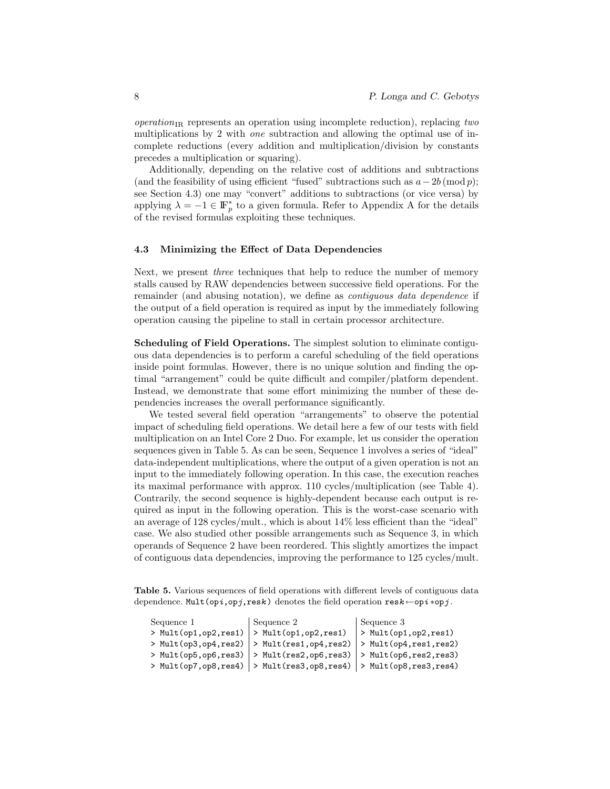$operation_{IR}$  represents an operation using incomplete reduction), replacing two multiplications by 2 with one subtraction and allowing the optimal use of incomplete reductions (every addition and multiplication/division by constants precedes a multiplication or squaring).

Additionally, depending on the relative cost of additions and subtractions (and the feasibility of using efficient "fused" subtractions such as  $a-2b \pmod{p}$ ; see Section 4.3) one may "convert" additions to subtractions (or vice versa) by applying  $\lambda = -1 \in \mathbb{F}_p^*$  to a given formula. Refer to Appendix A for the details of the revised formulas exploiting these techniques.

#### 4.3 Minimizing the Effect of Data Dependencies

Next, we present *three* techniques that help to reduce the number of memory stalls caused by RAW dependencies between successive field operations. For the remainder (and abusing notation), we define as *contiguous data dependence* if the output of a field operation is required as input by the immediately following operation causing the pipeline to stall in certain processor architecture.

Scheduling of Field Operations. The simplest solution to eliminate contiguous data dependencies is to perform a careful scheduling of the field operations inside point formulas. However, there is no unique solution and finding the optimal "arrangement" could be quite difficult and compiler/platform dependent. Instead, we demonstrate that some effort minimizing the number of these dependencies increases the overall performance significantly.

We tested several field operation "arrangements" to observe the potential impact of scheduling field operations. We detail here a few of our tests with field multiplication on an Intel Core 2 Duo. For example, let us consider the operation sequences given in Table 5. As can be seen, Sequence 1 involves a series of "ideal" data-independent multiplications, where the output of a given operation is not an input to the immediately following operation. In this case, the execution reaches its maximal performance with approx. 110 cycles/multiplication (see Table 4). Contrarily, the second sequence is highly-dependent because each output is required as input in the following operation. This is the worst-case scenario with an average of 128 cycles/mult., which is about 14% less efficient than the "ideal" case. We also studied other possible arrangements such as Sequence 3, in which operands of Sequence 2 have been reordered. This slightly amortizes the impact of contiguous data dependencies, improving the performance to 125 cycles/mult.

Table 5. Various sequences of field operations with different levels of contiguous data dependence. Mult(opi,opj,resk) denotes the field operation  $\text{res}k \leftarrow$ opi\*opj.

| Sequence 1 | Sequence 2                                                         | Sequence 3 |
|------------|--------------------------------------------------------------------|------------|
|            | > Mult(op1,op2,res1)  > Mult(op1,op2,res1)  > Mult(op1,op2,res1)   |            |
|            | > Mult(op3,op4,res2)  > Mult(res1,op4,res2)  > Mult(op4,res1,res2) |            |
|            | > Mult(op5,op6,res3)  > Mult(res2,op6,res3)  > Mult(op6,res2,res3) |            |
|            | > Mult(op7,op8,res4)  > Mult(res3,op8,res4)  > Mult(op8,res3,res4) |            |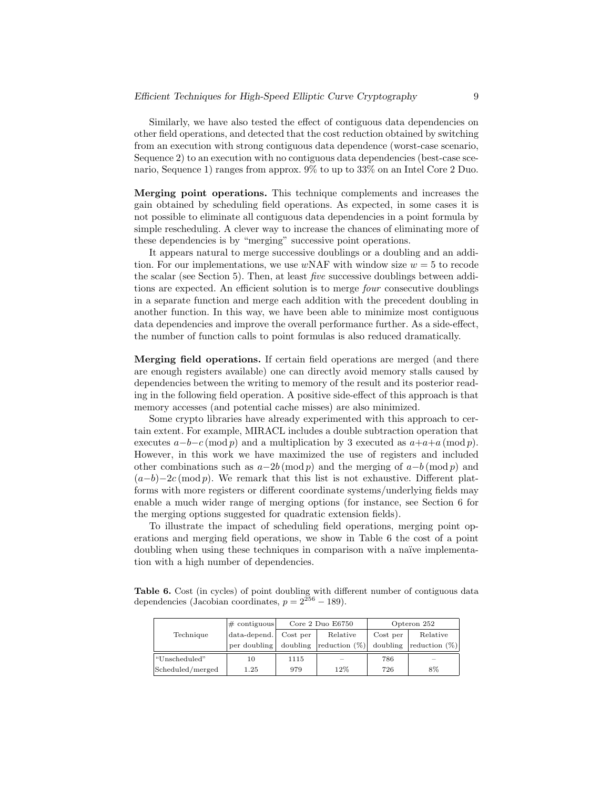Similarly, we have also tested the effect of contiguous data dependencies on other field operations, and detected that the cost reduction obtained by switching from an execution with strong contiguous data dependence (worst-case scenario, Sequence 2) to an execution with no contiguous data dependencies (best-case scenario, Sequence 1) ranges from approx. 9% to up to 33% on an Intel Core 2 Duo.

Merging point operations. This technique complements and increases the gain obtained by scheduling field operations. As expected, in some cases it is not possible to eliminate all contiguous data dependencies in a point formula by simple rescheduling. A clever way to increase the chances of eliminating more of these dependencies is by "merging" successive point operations.

It appears natural to merge successive doublings or a doubling and an addition. For our implementations, we use  $wNAF$  with window size  $w = 5$  to recode the scalar (see Section 5). Then, at least five successive doublings between additions are expected. An efficient solution is to merge *four* consecutive doublings in a separate function and merge each addition with the precedent doubling in another function. In this way, we have been able to minimize most contiguous data dependencies and improve the overall performance further. As a side-effect, the number of function calls to point formulas is also reduced dramatically.

Merging field operations. If certain field operations are merged (and there are enough registers available) one can directly avoid memory stalls caused by dependencies between the writing to memory of the result and its posterior reading in the following field operation. A positive side-effect of this approach is that memory accesses (and potential cache misses) are also minimized.

Some crypto libraries have already experimented with this approach to certain extent. For example, MIRACL includes a double subtraction operation that executes  $a-b-c \pmod{p}$  and a multiplication by 3 executed as  $a+a+a \pmod{p}$ . However, in this work we have maximized the use of registers and included other combinations such as  $a-2b \pmod{p}$  and the merging of  $a-b \pmod{p}$  and  $(a-b)-2c \pmod{p}$ . We remark that this list is not exhaustive. Different platforms with more registers or different coordinate systems/underlying fields may enable a much wider range of merging options (for instance, see Section 6 for the merging options suggested for quadratic extension fields).

To illustrate the impact of scheduling field operations, merging point operations and merging field operations, we show in Table 6 the cost of a point doubling when using these techniques in comparison with a naïve implementation with a high number of dependencies.

Table 6. Cost (in cycles) of point doubling with different number of contiguous data dependencies (Jacobian coordinates,  $p = 2^{256} - 189$ ).

|                  | $\#$ contiguous | Core $2$ Duo $E6750$ |                  | Opteron 252 |                           |
|------------------|-----------------|----------------------|------------------|-------------|---------------------------|
| Technique        | data-depend.    | Cost per             | Relative         | Cost per    | Relative                  |
|                  | per doubling    | doubling             | reduction $(\%)$ | doubling    | $\lvert$ reduction $(\%)$ |
| "Unscheduled"    | 10              | 1115                 | -                | 786         | <b>Service</b>            |
| Scheduled/merged | 1.25            | 979                  | 12%              | 726         | 8%                        |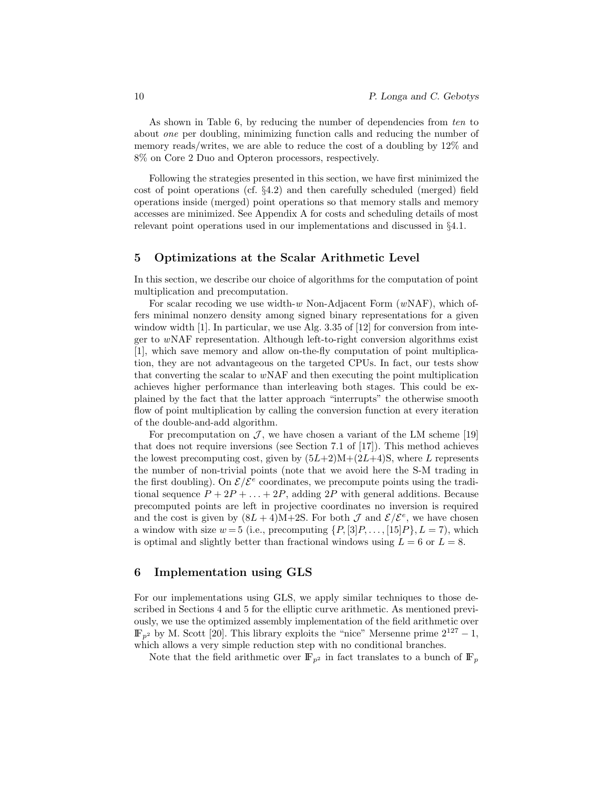As shown in Table 6, by reducing the number of dependencies from ten to about one per doubling, minimizing function calls and reducing the number of memory reads/writes, we are able to reduce the cost of a doubling by 12% and 8% on Core 2 Duo and Opteron processors, respectively.

Following the strategies presented in this section, we have first minimized the cost of point operations (cf. §4.2) and then carefully scheduled (merged) field operations inside (merged) point operations so that memory stalls and memory accesses are minimized. See Appendix A for costs and scheduling details of most relevant point operations used in our implementations and discussed in §4.1.

### 5 Optimizations at the Scalar Arithmetic Level

In this section, we describe our choice of algorithms for the computation of point multiplication and precomputation.

For scalar recoding we use width- $w$  Non-Adjacent Form  $(wNAF)$ , which offers minimal nonzero density among signed binary representations for a given window width [1]. In particular, we use Alg. 3.35 of [12] for conversion from integer to wNAF representation. Although left-to-right conversion algorithms exist [1], which save memory and allow on-the-fly computation of point multiplication, they are not advantageous on the targeted CPUs. In fact, our tests show that converting the scalar to wNAF and then executing the point multiplication achieves higher performance than interleaving both stages. This could be explained by the fact that the latter approach "interrupts" the otherwise smooth flow of point multiplication by calling the conversion function at every iteration of the double-and-add algorithm.

For precomputation on  $\mathcal{J}$ , we have chosen a variant of the LM scheme [19] that does not require inversions (see Section 7.1 of [17]). This method achieves the lowest precomputing cost, given by  $(5L+2)M+(2L+4)S$ , where L represents the number of non-trivial points (note that we avoid here the S-M trading in the first doubling). On  $\mathcal{E}/\mathcal{E}^e$  coordinates, we precompute points using the traditional sequence  $P + 2P + \ldots + 2P$ , adding  $2P$  with general additions. Because precomputed points are left in projective coordinates no inversion is required and the cost is given by  $(8L+4)M+2S$ . For both  $\mathcal J$  and  $\mathcal E/\mathcal E^e$ , we have chosen a window with size  $w = 5$  (i.e., precomputing  $\{P, [3]P, \ldots, [15]P\}, L = 7$ ), which is optimal and slightly better than fractional windows using  $L = 6$  or  $L = 8$ .

### 6 Implementation using GLS

For our implementations using GLS, we apply similar techniques to those described in Sections 4 and 5 for the elliptic curve arithmetic. As mentioned previously, we use the optimized assembly implementation of the field arithmetic over  $\mathbb{F}_{p^2}$  by M. Scott [20]. This library exploits the "nice" Mersenne prime  $2^{127} - 1$ , which allows a very simple reduction step with no conditional branches.

Note that the field arithmetic over  $\mathbb{F}_{p^2}$  in fact translates to a bunch of  $\mathbb{F}_p$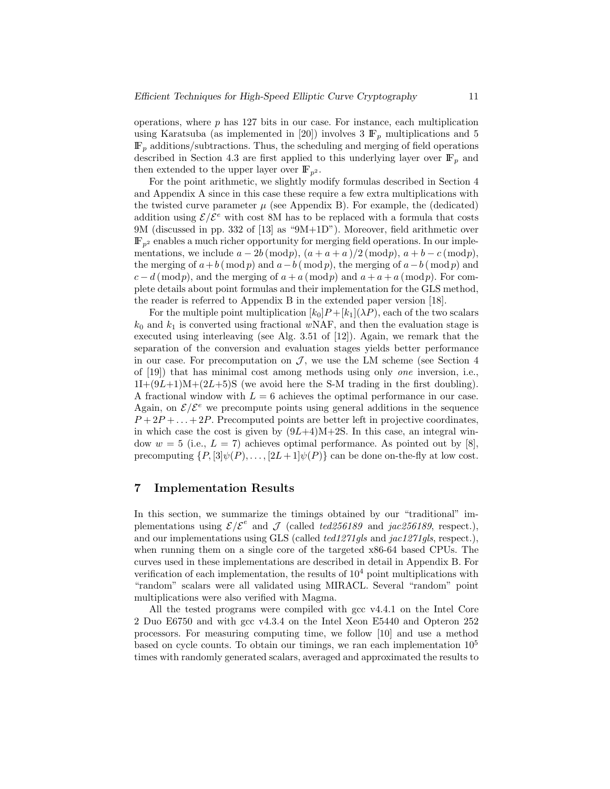operations, where  $p$  has 127 bits in our case. For instance, each multiplication using Karatsuba (as implemented in [20]) involves  $3 \mathbb{F}_p$  multiplications and  $5$  $\mathbb{F}_p$  additions/subtractions. Thus, the scheduling and merging of field operations described in Section 4.3 are first applied to this underlying layer over  $\mathbb{F}_p$  and then extended to the upper layer over  $\mathbb{F}_{p^2}$ .

For the point arithmetic, we slightly modify formulas described in Section 4 and Appendix A since in this case these require a few extra multiplications with the twisted curve parameter  $\mu$  (see Appendix B). For example, the (dedicated) addition using  $\mathcal{E}/\mathcal{E}^e$  with cost 8M has to be replaced with a formula that costs 9M (discussed in pp. 332 of [13] as "9M+1D"). Moreover, field arithmetic over  $\mathbb{F}_{p^2}$  enables a much richer opportunity for merging field operations. In our implementations, we include  $a - 2b \pmod{p}$ ,  $(a + a + a)/2 \pmod{p}$ ,  $a + b - c \pmod{p}$ , the merging of  $a+b \pmod{p}$  and  $a-b \pmod{p}$ , the merging of  $a-b \pmod{p}$  and  $c - d \pmod{p}$ , and the merging of  $a + a \pmod{p}$  and  $a + a + a \pmod{p}$ . For complete details about point formulas and their implementation for the GLS method, the reader is referred to Appendix B in the extended paper version [18].

For the multiple point multiplication  $[k_0]P + [k_1](\lambda P)$ , each of the two scalars  $k_0$  and  $k_1$  is converted using fractional wNAF, and then the evaluation stage is executed using interleaving (see Alg. 3.51 of [12]). Again, we remark that the separation of the conversion and evaluation stages yields better performance in our case. For precomputation on  $\mathcal{J}$ , we use the LM scheme (see Section 4 of [19]) that has minimal cost among methods using only one inversion, i.e.,  $11+(9L+1)M+(2L+5)S$  (we avoid here the S-M trading in the first doubling). A fractional window with  $L = 6$  achieves the optimal performance in our case. Again, on  $\mathcal{E}/\mathcal{E}^e$  we precompute points using general additions in the sequence  $P+2P+\ldots+2P$ . Precomputed points are better left in projective coordinates, in which case the cost is given by  $(9L+4)M+2S$ . In this case, an integral window  $w = 5$  (i.e.,  $L = 7$ ) achieves optimal performance. As pointed out by [8], precomputing  $\{P, [3]\psi(P), \ldots, [2L+1]\psi(P)\}\)$  can be done on-the-fly at low cost.

### 7 Implementation Results

In this section, we summarize the timings obtained by our "traditional" implementations using  $\mathcal{E}/\mathcal{E}^e$  and  $\mathcal J$  (called ted256189 and jac256189, respect.), and our implementations using GLS (called ted1271gls and jac1271gls, respect.), when running them on a single core of the targeted x86-64 based CPUs. The curves used in these implementations are described in detail in Appendix B. For verification of each implementation, the results of  $10<sup>4</sup>$  point multiplications with "random" scalars were all validated using MIRACL. Several "random" point multiplications were also verified with Magma.

All the tested programs were compiled with gcc v4.4.1 on the Intel Core 2 Duo E6750 and with gcc v4.3.4 on the Intel Xeon E5440 and Opteron 252 processors. For measuring computing time, we follow [10] and use a method based on cycle counts. To obtain our timings, we ran each implementation  $10<sup>5</sup>$ times with randomly generated scalars, averaged and approximated the results to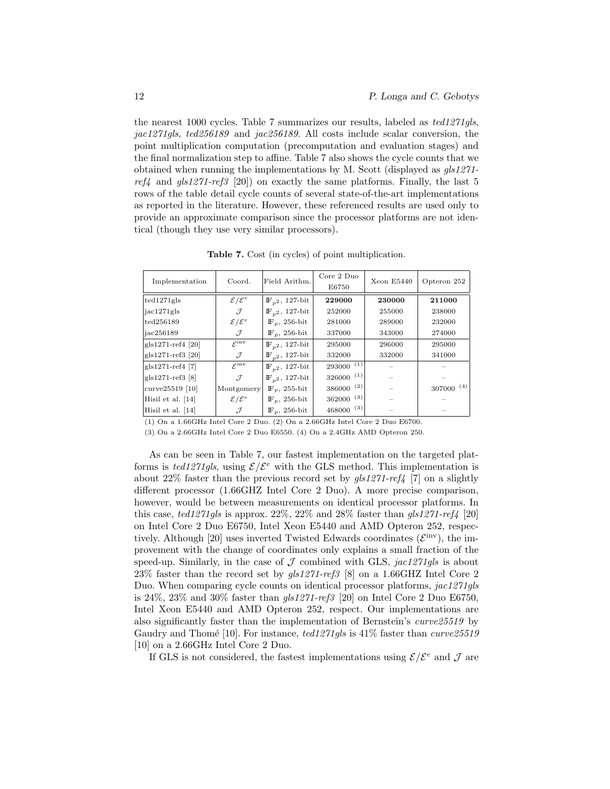the nearest 1000 cycles. Table 7 summarizes our results, labeled as ted1271gls, jac1271gls, ted256189 and jac256189. All costs include scalar conversion, the point multiplication computation (precomputation and evaluation stages) and the final normalization step to affine. Table 7 also shows the cycle counts that we obtained when running the implementations by M. Scott (displayed as gls1271  $ref_4$  and  $gls1271-ref3$  [20]) on exactly the same platforms. Finally, the last 5 rows of the table detail cycle counts of several state-of-the-art implementations as reported in the literature. However, these referenced results are used only to provide an approximate comparison since the processor platforms are not identical (though they use very similar processors).

| Implementation      | Coord.                      | Field Arithm.                | Core 2 Duo<br>E6750 | Xeon E5440 | Opteron 252   |
|---------------------|-----------------------------|------------------------------|---------------------|------------|---------------|
| ted1271gls          | $\mathcal{E}/\mathcal{E}^e$ | $\mathbb{F}_{n^2}$ , 127-bit | 229000              | 230000     | 211000        |
| iac1271gls          | J                           | $\mathbb{F}_{n^2}$ , 127-bit | 252000              | 255000     | 238000        |
| ted256189           | $\mathcal{E}/\mathcal{E}^e$ | $\mathbb{F}_p$ , 256-bit     | 281000              | 289000     | 232000        |
| jac256189           | J                           | $\mathbb{F}_p$ , 256-bit     | 337000              | 343000     | 274000        |
| $gls1271-ref4$ [20] | $\mathcal{E}^{\text{inv}}$  | $\mathbb{F}_{n^2}$ , 127-bit | 295000              | 296000     | 295000        |
| gls1271-ref3 [20]   | J                           | $\mathbb{F}_{n^2}$ , 127-bit | 332000              | 332000     | 341000        |
| $gls1271-ref4$ [7]  | $\varepsilon$ inv           | $\mathbb{F}_{n^2}$ , 127-bit | (1)<br>293000       |            |               |
| $gls1271-ref3$ [8]  | $\mathcal{J}$               | $\mathbb{F}_{n^2}$ , 127-bit | (1)<br>326000       |            |               |
| curve25519 [10]     | Montgomery                  | $\mathbb{F}_n$ , 255-bit     | (2)<br>386000       |            | (4)<br>307000 |
| Hisil et al. $[14]$ | $\mathcal{E}/\mathcal{E}^e$ | $\mathbb{F}_p$ , 256-bit     | (3)<br>362000       |            |               |
| Hisil et al. [14]   | $\mathcal{J}$               | $\mathbb{F}_p$ , 256-bit     | (3)<br>468000       |            |               |

Table 7. Cost (in cycles) of point multiplication.

(1) On a 1.66GHz Intel Core 2 Duo. (2) On a 2.66GHz Intel Core 2 Duo E6700.

(3) On a 2.66GHz Intel Core 2 Duo E6550. (4) On a 2.4GHz AMD Opteron 250.

As can be seen in Table 7, our fastest implementation on the targeted platforms is ted1271gls, using  $\mathcal{E}/\mathcal{E}^e$  with the GLS method. This implementation is about 22% faster than the previous record set by  $qls1271-ref4$  [7] on a slightly different processor (1.66GHZ Intel Core 2 Duo). A more precise comparison, however, would be between measurements on identical processor platforms. In this case, ted1271gls is approx.  $22\%$ ,  $22\%$  and  $28\%$  faster than gls1271-ref<sub>4</sub> [20] on Intel Core 2 Duo E6750, Intel Xeon E5440 and AMD Opteron 252, respectively. Although [20] uses inverted Twisted Edwards coordinates  $({\mathcal{E}}^{\text{inv}})$ , the improvement with the change of coordinates only explains a small fraction of the speed-up. Similarly, in the case of  $\mathcal J$  combined with GLS, jac1271gls is about 23% faster than the record set by gls1271-ref3 [8] on a 1.66GHZ Intel Core 2 Duo. When comparing cycle counts on identical processor platforms, jac1271gls is 24%, 23% and 30% faster than  $gls1271-ref3$  [20] on Intel Core 2 Duo E6750, Intel Xeon E5440 and AMD Opteron 252, respect. Our implementations are also significantly faster than the implementation of Bernstein's curve25519 by Gaudry and Thomé [10]. For instance,  $ted1271qls$  is 41% faster than curve  $25519$ [10] on a 2.66GHz Intel Core 2 Duo.

If GLS is not considered, the fastest implementations using  $\mathcal{E}/\mathcal{E}^e$  and  $\mathcal J$  are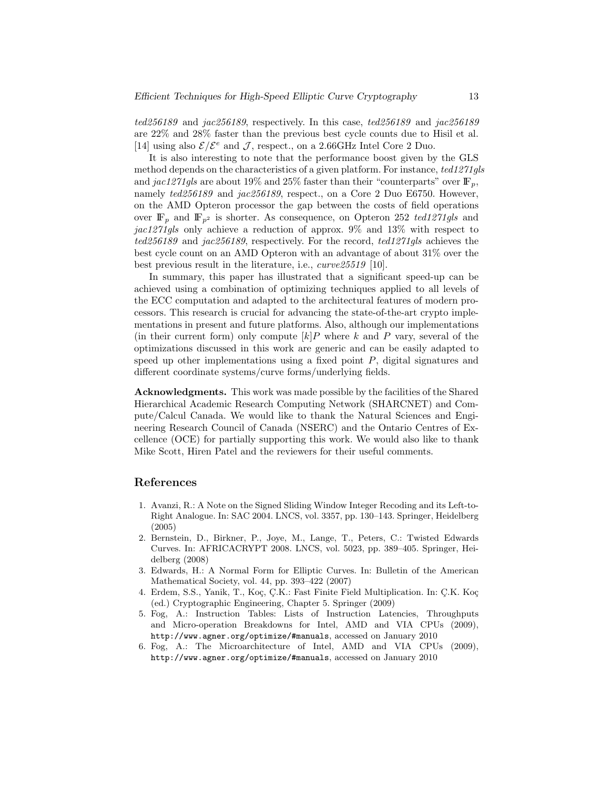ted256189 and jac256189, respectively. In this case, ted256189 and jac256189 are 22% and 28% faster than the previous best cycle counts due to Hisil et al. [14] using also  $\mathcal{E}/\mathcal{E}^e$  and  $\mathcal{J}$ , respect., on a 2.66GHz Intel Core 2 Duo.

It is also interesting to note that the performance boost given by the GLS method depends on the characteristics of a given platform. For instance, ted1271gls and jac1271gls are about 19% and 25% faster than their "counterparts" over  $\mathbb{F}_n$ , namely  $ted256189$  and  $jac256189$ , respect., on a Core 2 Duo E6750. However, on the AMD Opteron processor the gap between the costs of field operations over  $\mathbb{F}_p$  and  $\mathbb{F}_{p^2}$  is shorter. As consequence, on Opteron 252 ted1271gls and jac1271gls only achieve a reduction of approx. 9% and 13% with respect to ted256189 and jac256189, respectively. For the record, ted1271gls achieves the best cycle count on an AMD Opteron with an advantage of about 31% over the best previous result in the literature, i.e., curve25519 [10].

In summary, this paper has illustrated that a significant speed-up can be achieved using a combination of optimizing techniques applied to all levels of the ECC computation and adapted to the architectural features of modern processors. This research is crucial for advancing the state-of-the-art crypto implementations in present and future platforms. Also, although our implementations (in their current form) only compute  $[k]P$  where k and P vary, several of the optimizations discussed in this work are generic and can be easily adapted to speed up other implementations using a fixed point  $P$ , digital signatures and different coordinate systems/curve forms/underlying fields.

Acknowledgments. This work was made possible by the facilities of the Shared Hierarchical Academic Research Computing Network (SHARCNET) and Compute/Calcul Canada. We would like to thank the Natural Sciences and Engineering Research Council of Canada (NSERC) and the Ontario Centres of Excellence (OCE) for partially supporting this work. We would also like to thank Mike Scott, Hiren Patel and the reviewers for their useful comments.

### References

- 1. Avanzi, R.: A Note on the Signed Sliding Window Integer Recoding and its Left-to-Right Analogue. In: SAC 2004. LNCS, vol. 3357, pp. 130–143. Springer, Heidelberg (2005)
- 2. Bernstein, D., Birkner, P., Joye, M., Lange, T., Peters, C.: Twisted Edwards Curves. In: AFRICACRYPT 2008. LNCS, vol. 5023, pp. 389–405. Springer, Heidelberg (2008)
- 3. Edwards, H.: A Normal Form for Elliptic Curves. In: Bulletin of the American Mathematical Society, vol. 44, pp. 393–422 (2007)
- 4. Erdem, S.S., Yanik, T., Koç, Ç.K.: Fast Finite Field Multiplication. In: Ç.K. Koç (ed.) Cryptographic Engineering, Chapter 5. Springer (2009)
- 5. Fog, A.: Instruction Tables: Lists of Instruction Latencies, Throughputs and Micro-operation Breakdowns for Intel, AMD and VIA CPUs (2009), http://www.agner.org/optimize/#manuals, accessed on January 2010
- 6. Fog, A.: The Microarchitecture of Intel, AMD and VIA CPUs (2009), http://www.agner.org/optimize/#manuals, accessed on January 2010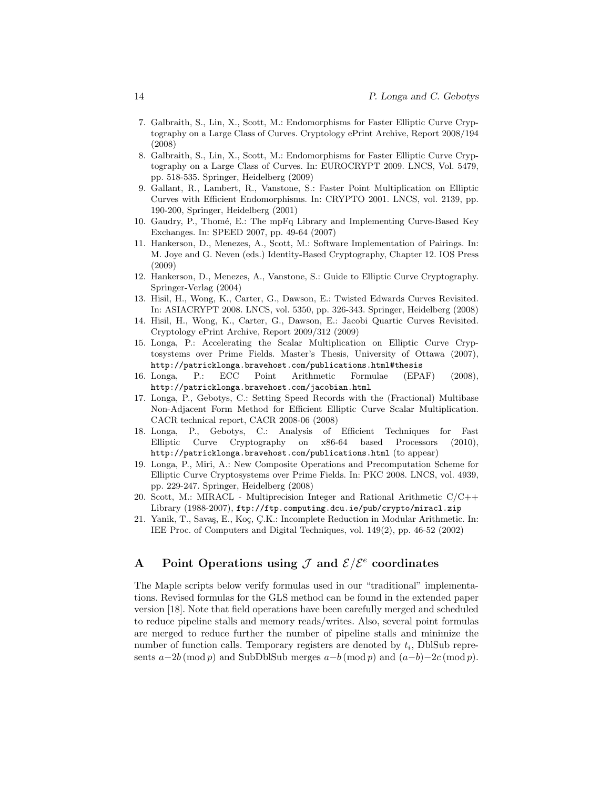- 7. Galbraith, S., Lin, X., Scott, M.: Endomorphisms for Faster Elliptic Curve Cryptography on a Large Class of Curves. Cryptology ePrint Archive, Report 2008/194 (2008)
- 8. Galbraith, S., Lin, X., Scott, M.: Endomorphisms for Faster Elliptic Curve Cryptography on a Large Class of Curves. In: EUROCRYPT 2009. LNCS, Vol. 5479, pp. 518-535. Springer, Heidelberg (2009)
- 9. Gallant, R., Lambert, R., Vanstone, S.: Faster Point Multiplication on Elliptic Curves with Efficient Endomorphisms. In: CRYPTO 2001. LNCS, vol. 2139, pp. 190-200, Springer, Heidelberg (2001)
- 10. Gaudry, P., Thomé, E.: The mpFq Library and Implementing Curve-Based Key Exchanges. In: SPEED 2007, pp. 49-64 (2007)
- 11. Hankerson, D., Menezes, A., Scott, M.: Software Implementation of Pairings. In: M. Joye and G. Neven (eds.) Identity-Based Cryptography, Chapter 12. IOS Press (2009)
- 12. Hankerson, D., Menezes, A., Vanstone, S.: Guide to Elliptic Curve Cryptography. Springer-Verlag (2004)
- 13. Hisil, H., Wong, K., Carter, G., Dawson, E.: Twisted Edwards Curves Revisited. In: ASIACRYPT 2008. LNCS, vol. 5350, pp. 326-343. Springer, Heidelberg (2008)
- 14. Hisil, H., Wong, K., Carter, G., Dawson, E.: Jacobi Quartic Curves Revisited. Cryptology ePrint Archive, Report 2009/312 (2009)
- 15. Longa, P.: Accelerating the Scalar Multiplication on Elliptic Curve Cryptosystems over Prime Fields. Master's Thesis, University of Ottawa (2007), http://patricklonga.bravehost.com/publications.html#thesis
- 16. Longa, P.: ECC Point Arithmetic Formulae (EPAF) (2008), http://patricklonga.bravehost.com/jacobian.html
- 17. Longa, P., Gebotys, C.: Setting Speed Records with the (Fractional) Multibase Non-Adjacent Form Method for Efficient Elliptic Curve Scalar Multiplication. CACR technical report, CACR 2008-06 (2008)
- 18. Longa, P., Gebotys, C.: Analysis of Efficient Techniques for Fast Elliptic Curve Cryptography on x86-64 based Processors (2010), http://patricklonga.bravehost.com/publications.html (to appear)
- 19. Longa, P., Miri, A.: New Composite Operations and Precomputation Scheme for Elliptic Curve Cryptosystems over Prime Fields. In: PKC 2008. LNCS, vol. 4939, pp. 229-247. Springer, Heidelberg (2008)
- 20. Scott, M.: MIRACL Multiprecision Integer and Rational Arithmetic C/C++ Library (1988-2007), ftp://ftp.computing.dcu.ie/pub/crypto/miracl.zip
- 21. Yanik, T., Savaş, E., Koç, Ç.K.: Incomplete Reduction in Modular Arithmetic. In: IEE Proc. of Computers and Digital Techniques, vol. 149(2), pp. 46-52 (2002)

## A Point Operations using  $\mathcal J$  and  $\mathcal E/\mathcal E^e$  coordinates

The Maple scripts below verify formulas used in our "traditional" implementations. Revised formulas for the GLS method can be found in the extended paper version [18]. Note that field operations have been carefully merged and scheduled to reduce pipeline stalls and memory reads/writes. Also, several point formulas are merged to reduce further the number of pipeline stalls and minimize the number of function calls. Temporary registers are denoted by  $t_i$ , DblSub represents  $a-2b \pmod{p}$  and SubDblSub merges  $a-b \pmod{p}$  and  $(a-b)-2c \pmod{p}$ .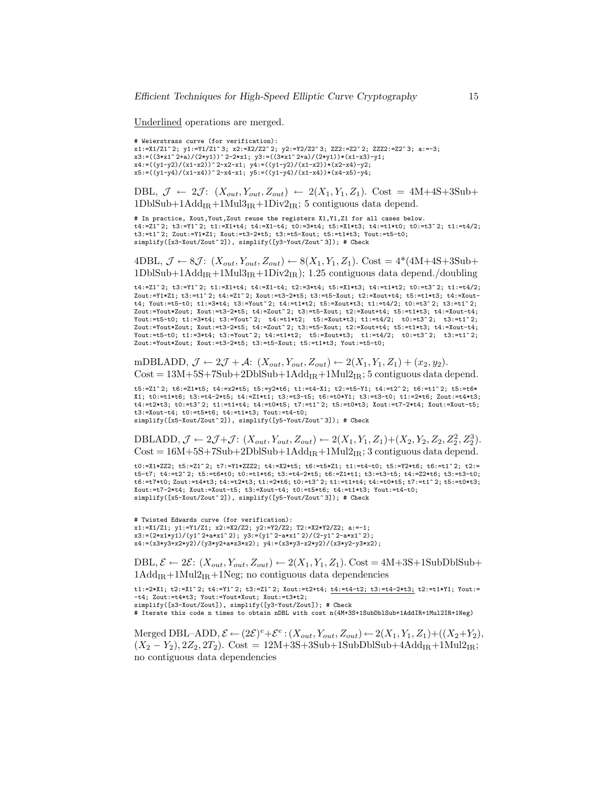Underlined operations are merged.

# Weierstrass curve (for verification): x1:=X1/Z1^ 2; y1:=Y1/Z1^ 3; x2:=X2/Z2^ 2; y2:=Y2/Z2^ 3; ZZ2:=Z2^ 2; ZZZ2:=Z2^ 3; a:=-3;  $x3:=((3*x1^2+a)/(2*y1))^2-2*x1; y3:=((3*x1^2+a)/(2*y1))*(x1-x3)-y1;$ x4:=((y1-y2)/(x1-x2))^ 2-x2-x1; y4:=((y1-y2)/(x1-x2))\*(x2-x4)-y2; x5:=((y1-y4)/(x1-x4))^ 2-x4-x1; y5:=((y1-y4)/(x1-x4))\*(x4-x5)-y4;

DBL,  $\mathcal{J} \leftarrow 2\mathcal{J}$ :  $(X_{out}, Y_{out}, Z_{out}) \leftarrow 2(X_1, Y_1, Z_1)$ . Cost = 4M+4S+3Sub+  $1DbSub+1Add_{IR}+1Mul3_{IR}+1Div2_{IR};$  5 contiguous data depend.

# In practice, Xout,Yout,Zout reuse the registers X1,Y1,Z1 for all cases below.  $t4:=Z1^2$  2;  $t3:=Y1^2$ ;  $t1:=X1+t4$ ;  $t4:=X1-t4$ ;  $t0:=3*t4$ ;  $t5:=X1*t3$ ;  $t4:=t1*t0$ ;  $t0:=t3^2$ ;  $t1:=t4/2$ ; t3:=t1^ 2; Zout:=Y1\*Z1; Xout:=t3-2\*t5; t3:=t5-Xout; t5:=t1\*t3; Yout:=t5-t0; simplify([x3-Xout/Zout^ 2]), simplify([y3-Yout/Zout^ 3]); # Check

4DBL,  $\mathcal{J} \leftarrow 8\mathcal{J}$ :  $(X_{out}, Y_{out}, Z_{out}) \leftarrow 8(X_1, Y_1, Z_1)$ . Cost = 4\*(4M+4S+3Sub+  $1DbISub+1Add_{IR}+1Mul3_{IR}+1Div2_{IR}; 1.25$  contiguous data depend./doubling

t4:=Z1^ 2; t3:=Y1^ 2; t1:=X1+t4; t4:=X1-t4; t2:=3\*t4; t5:=X1\*t3; t4:=t1\*t2; t0:=t3^ 2; t1:=t4/2; Zout:=Y1\*Z1; t3:=t1^ 2; t4:=Z1^ 2; Xout:=t3-2\*t5; t3:=t5-Xout; t2:=Xout+t4; t5:=t1\*t3; t4:=Xoutt4; Yout:=t5-t0; t1:=3\*t4; t3:=Yout^ 2; t4:=t1\*t2; t5:=Xout\*t3; t1:=t4/2; t0:=t3^ 2; t3:=t1^ 2; Zout:=Yout\*Zout; Xout:=t3-2\*t5; t4:=Zout^ 2; t3:=t5-Xout; t2:=Xout+t4; t5:=t1\*t3; t4:=Xout-t4; Yout:=t5-t0; t1:=3\*t4; t3:=Yout^ 2; t4:=t1\*t2; t5:=Xout\*t3; t1:=t4/2; t0:=t3^ 2; t3:=t1^ 2;  $Zout:=Yout*Zout; Xout:=t3-2*t5; t4:=Zout^2; t3:=t5-Xout; t2:=Xout+t4; t5:=t1*t3; t4:=Xout-t4;$ Yout:=t5-t0; t1:=3\*t4; t3:=Yout^ 2; t4:=t1\*t2; t5:=Xout\*t3; t1:=t4/2; t0:=t3^ 2; t3:=t1^ 2;  $Zout:=\text{Your} * Zout; Xout:=t3-2*t5; t3:=t5-Xout; t5:=t1*t3; Yout:=t5-t0;$ 

mDBLADD,  $\mathcal{J} \leftarrow 2\mathcal{J} + \mathcal{A}$ :  $(X_{out}, Y_{out}, Z_{out}) \leftarrow 2(X_1, Y_1, Z_1) + (x_2, y_2)$ .  $Cost = 13M+5S+7Sub+2DbSub+1Add_{IR}+1Mul2_{IR};$  5 contiguous data depend.

t5:=Z1^ 2; t6:=Z1\*t5; t4:=x2\*t5; t5:=y2\*t6; t1:=t4-X1; t2:=t5-Y1; t4:=t2^ 2; t6:=t1^ 2; t5:=t6\* X1; t0:=t1\*t6; t3:=t4-2\*t5; t4:=Z1\*t1; t3:=t3-t5; t6:=t0\*Y1; t3:=t3-t0; t1:=2\*t6; Zout:=t4\*t3; t4:=t2\*t3; t0:=t3^ 2; t1:=t1+t4; t4:=t0\*t5; t7:=t1^ 2; t5:=t0\*t3; Xout:=t7-2\*t4; Xout:=Xout-t5; t3:=Xout-t4; t0:=t5\*t6; t4:=t1\*t3; Yout:=t4-t0;

simplify([x5-Xout/Zout^ 2]), simplify([y5-Yout/Zout^ 3]); # Check

DBLADD,  $\mathcal{J} \leftarrow 2\mathcal{J} + \mathcal{J}$ :  $(X_{out}, Y_{out}, Z_{out}) \leftarrow 2(X_1, Y_1, Z_1) + (X_2, Y_2, Z_2, Z_2^2, Z_2^3)$ .  $Cost = 16M+5S+7Sub+2DbISub+1Add_{IR}+1Mul2_{IR};$  3 contiguous data depend.

t0:=X1\*ZZ2; t5:=Z1^ 2; t7:=Y1\*ZZZ2; t4:=X2\*t5; t6:=t5\*Z1; t1:=t4-t0; t5:=Y2\*t6; t6:=t1^ 2; t2:= t5-t7; t4:=t2^ 2; t5:=t6\*t0; t0:=t1\*t6; t3:=t4-2\*t5; t6:=Z1\*t1; t3:=t3-t5; t4:=Z2\*t6; t3:=t3-t0; t6:=t7\*t0; Zout:=t4\*t3; t4:=t2\*t3; t1:=2\*t6; t0:=t3^ 2; t1:=t1+t4; t4:=t0\*t5; t7:=t1^ 2; t5:=t0\*t3; Xout:=t7-2\*t4; Xout:=Xout-t5; t3:=Xout-t4; t0:=t5\*t6; t4:=t1\*t3; Yout:=t4-t0; simplify([x5-Xout/Zout^2]), simplify([y5-Yout/Zout^3]); # Check

# Twisted Edwards curve (for verification): x1:=X1/Z1; y1:=Y1/Z1; x2:=X2/Z2; y2:=Y2/Z2; T2:=X2\*Y2/Z2; a:=-1;  $x3:=$ (2\*x1\*y1)/(y1^ 2+a\*x1^ 2); y3:=(y1^ 2-a\*x1^ 2)/(2-y1^ 2-a\*x1^ 2);  $x4:=(x3*y3+x2*y2)/(y3*y2+a*x3*x2); y4:=(x3*y3-x2*y2)/(x3*y2-y3*x2);$ 

DBL,  $\mathcal{E} \leftarrow 2\mathcal{E}$ :  $(X_{out}, Y_{out}, Z_{out}) \leftarrow 2(X_1, Y_1, Z_1)$ . Cost = 4M+3S+1SubDblSub+  $1Add_{IR} +1Mul_{IR} +1Neg$ ; no contiguous data dependencies

t1:=2\*X1; t2:=X1^ 2; t4:=Y1^ 2; t3:=Z1^ 2; Xout:=t2+t4; t4:=t4-t2; t3:=t4-2\*t3; t2:=t1\*Y1; Yout:= -t4; Zout:=t4\*t3; Yout:=Yout\*Xout; Xout:=t3\*t2; simplify([x3-Xout/Zout]), simplify([y3-Yout/Zout]); # Check

# Iterate this code n times to obtain nDBL with cost n(4M+3S+1SubDblSub+1AddIR+1Mul2IR+1Neg)

Merged DBL-ADD,  $\mathcal{E} \leftarrow (2\mathcal{E})^e + \mathcal{E}^e : (X_{out}, Y_{out}, Z_{out}) \leftarrow 2(X_1, Y_1, Z_1) + ((X_2 + Y_2),$  $(X_2 - Y_2), 2Z_2, 2T_2$ . Cost = 12M+3S+3Sub+1SubDblSub+4Add<sub>IR</sub>+1Mul2<sub>IR</sub>; no contiguous data dependencies